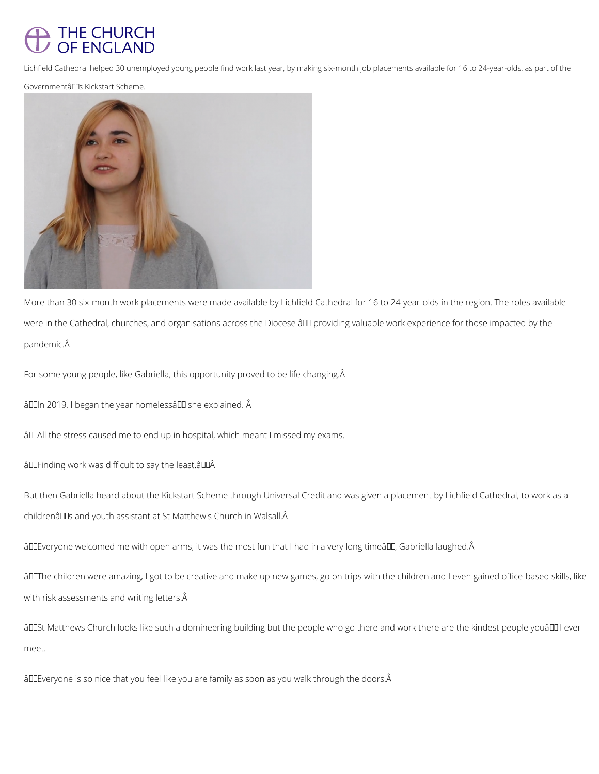## THE CHURCH OF ENGLAND

Lichfield Cathedral helped 30 unemployed young people find work last year, by making six-month job placements available for 16 to 24-year-olds, as part of the

GovernmentâDDs Kickstart Scheme.



More than 30 six-month work placements were made available by Lichfield Cathedral for 16 to 24-year-olds in the region. The roles available were in the Cathedral, churches, and organisations across the Diocese âll providing valuable work experience for those impacted by the pandemic.

For some young people, like Gabriella, this opportunity proved to be life changing. Â

âDIn 2019, I began the year homelessâ DI she explained. Â

âDDAII the stress caused me to end up in hospital, which meant I missed my exams.

âDDFinding work was difficult to say the least.âDDÂ

But then Gabriella heard about the Kickstart Scheme through Universal Credit and was given a placement by Lichfield Cathedral, to work as a childrenâlls and youth assistant at St Matthew's Church in Walsall.Â

âDDEveryone welcomed me with open arms, it was the most fun that I had in a very long timeâDD, Gabriella laughed.Â

âDIThe children were amazing, I got to be creative and make up new games, go on trips with the children and I even gained office-based skills, like

with risk assessments and writing letters. Â

âDDSt Matthews Church looks like such a domineering building but the people who go there and work there are the kindest people youâDDII ever

meet.

âDDEveryone is so nice that you feel like you are family as soon as you walk through the doors.Â